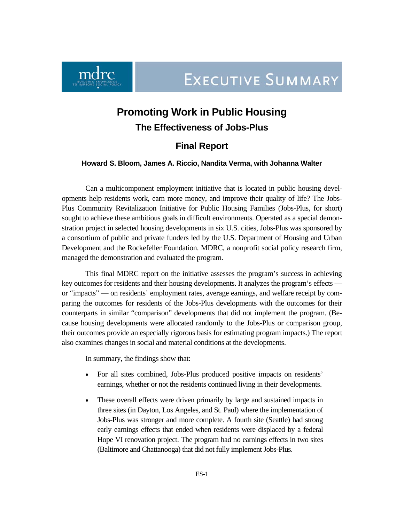**EXECUTIVE SUMMARY** 



# **Promoting Work in Public Housing**

# **The Effectiveness of Jobs-Plus**

# **Final Report**

### **Howard S. Bloom, James A. Riccio, Nandita Verma, with Johanna Walter**

Can a multicomponent employment initiative that is located in public housing developments help residents work, earn more money, and improve their quality of life? The Jobs-Plus Community Revitalization Initiative for Public Housing Families (Jobs-Plus, for short) sought to achieve these ambitious goals in difficult environments. Operated as a special demonstration project in selected housing developments in six U.S. cities, Jobs-Plus was sponsored by a consortium of public and private funders led by the U.S. Department of Housing and Urban Development and the Rockefeller Foundation. MDRC, a nonprofit social policy research firm, managed the demonstration and evaluated the program.

This final MDRC report on the initiative assesses the program's success in achieving key outcomes for residents and their housing developments. It analyzes the program's effects or "impacts" — on residents' employment rates, average earnings, and welfare receipt by comparing the outcomes for residents of the Jobs-Plus developments with the outcomes for their counterparts in similar "comparison" developments that did not implement the program. (Because housing developments were allocated randomly to the Jobs-Plus or comparison group, their outcomes provide an especially rigorous basis for estimating program impacts.) The report also examines changes in social and material conditions at the developments.

In summary, the findings show that:

- For all sites combined, Jobs-Plus produced positive impacts on residents' earnings, whether or not the residents continued living in their developments.
- These overall effects were driven primarily by large and sustained impacts in three sites (in Dayton, Los Angeles, and St. Paul) where the implementation of Jobs-Plus was stronger and more complete. A fourth site (Seattle) had strong early earnings effects that ended when residents were displaced by a federal Hope VI renovation project. The program had no earnings effects in two sites (Baltimore and Chattanooga) that did not fully implement Jobs-Plus.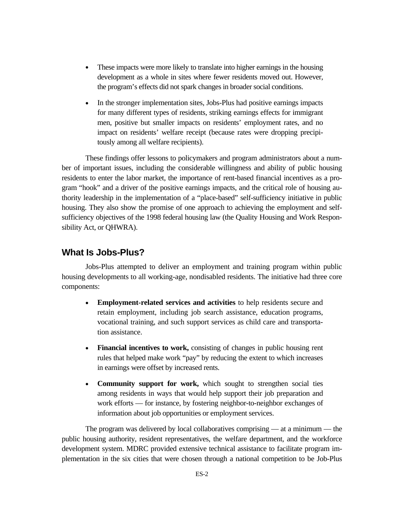- These impacts were more likely to translate into higher earnings in the housing development as a whole in sites where fewer residents moved out. However, the program's effects did not spark changes in broader social conditions.
- In the stronger implementation sites, Jobs-Plus had positive earnings impacts for many different types of residents, striking earnings effects for immigrant men, positive but smaller impacts on residents' employment rates, and no impact on residents' welfare receipt (because rates were dropping precipitously among all welfare recipients).

These findings offer lessons to policymakers and program administrators about a number of important issues, including the considerable willingness and ability of public housing residents to enter the labor market, the importance of rent-based financial incentives as a program "hook" and a driver of the positive earnings impacts, and the critical role of housing authority leadership in the implementation of a "place-based" self-sufficiency initiative in public housing. They also show the promise of one approach to achieving the employment and selfsufficiency objectives of the 1998 federal housing law (the Quality Housing and Work Responsibility Act, or QHWRA).

# **What Is Jobs-Plus?**

Jobs-Plus attempted to deliver an employment and training program within public housing developments to all working-age, nondisabled residents. The initiative had three core components:

- **Employment-related services and activities** to help residents secure and retain employment, including job search assistance, education programs, vocational training, and such support services as child care and transportation assistance.
- **Financial incentives to work,** consisting of changes in public housing rent rules that helped make work "pay" by reducing the extent to which increases in earnings were offset by increased rents.
- **Community support for work,** which sought to strengthen social ties among residents in ways that would help support their job preparation and work efforts — for instance, by fostering neighbor-to-neighbor exchanges of information about job opportunities or employment services.

The program was delivered by local collaboratives comprising — at a minimum — the public housing authority, resident representatives, the welfare department, and the workforce development system. MDRC provided extensive technical assistance to facilitate program implementation in the six cities that were chosen through a national competition to be Job-Plus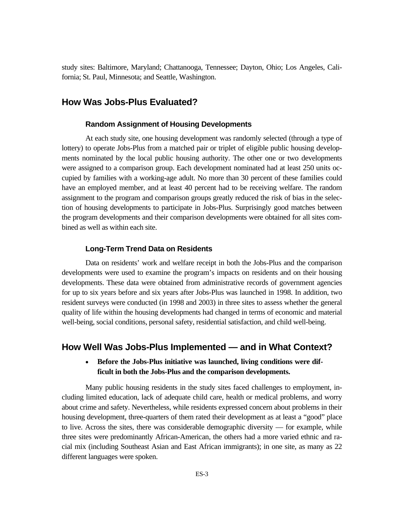study sites: Baltimore, Maryland; Chattanooga, Tennessee; Dayton, Ohio; Los Angeles, California; St. Paul, Minnesota; and Seattle, Washington.

# **How Was Jobs-Plus Evaluated?**

#### **Random Assignment of Housing Developments**

At each study site, one housing development was randomly selected (through a type of lottery) to operate Jobs-Plus from a matched pair or triplet of eligible public housing developments nominated by the local public housing authority. The other one or two developments were assigned to a comparison group. Each development nominated had at least 250 units occupied by families with a working-age adult. No more than 30 percent of these families could have an employed member, and at least 40 percent had to be receiving welfare. The random assignment to the program and comparison groups greatly reduced the risk of bias in the selection of housing developments to participate in Jobs-Plus. Surprisingly good matches between the program developments and their comparison developments were obtained for all sites combined as well as within each site.

#### **Long-Term Trend Data on Residents**

Data on residents' work and welfare receipt in both the Jobs-Plus and the comparison developments were used to examine the program's impacts on residents and on their housing developments. These data were obtained from administrative records of government agencies for up to six years before and six years after Jobs-Plus was launched in 1998. In addition, two resident surveys were conducted (in 1998 and 2003) in three sites to assess whether the general quality of life within the housing developments had changed in terms of economic and material well-being, social conditions, personal safety, residential satisfaction, and child well-being.

### **How Well Was Jobs-Plus Implemented — and in What Context?**

### • **Before the Jobs-Plus initiative was launched, living conditions were difficult in both the Jobs-Plus and the comparison developments.**

Many public housing residents in the study sites faced challenges to employment, including limited education, lack of adequate child care, health or medical problems, and worry about crime and safety. Nevertheless, while residents expressed concern about problems in their housing development, three-quarters of them rated their development as at least a "good" place to live. Across the sites, there was considerable demographic diversity — for example, while three sites were predominantly African-American, the others had a more varied ethnic and racial mix (including Southeast Asian and East African immigrants); in one site, as many as 22 different languages were spoken.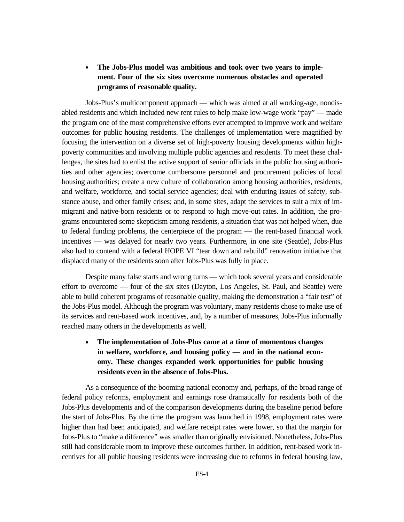# • **The Jobs-Plus model was ambitious and took over two years to implement. Four of the six sites overcame numerous obstacles and operated programs of reasonable quality.**

Jobs-Plus's multicomponent approach — which was aimed at all working-age, nondisabled residents and which included new rent rules to help make low-wage work "pay" — made the program one of the most comprehensive efforts ever attempted to improve work and welfare outcomes for public housing residents. The challenges of implementation were magnified by focusing the intervention on a diverse set of high-poverty housing developments within highpoverty communities and involving multiple public agencies and residents. To meet these challenges, the sites had to enlist the active support of senior officials in the public housing authorities and other agencies; overcome cumbersome personnel and procurement policies of local housing authorities; create a new culture of collaboration among housing authorities, residents, and welfare, workforce, and social service agencies; deal with enduring issues of safety, substance abuse, and other family crises; and, in some sites, adapt the services to suit a mix of immigrant and native-born residents or to respond to high move-out rates. In addition, the programs encountered some skepticism among residents, a situation that was not helped when, due to federal funding problems, the centerpiece of the program — the rent-based financial work incentives — was delayed for nearly two years. Furthermore, in one site (Seattle), Jobs-Plus also had to contend with a federal HOPE VI "tear down and rebuild" renovation initiative that displaced many of the residents soon after Jobs-Plus was fully in place.

Despite many false starts and wrong turns — which took several years and considerable effort to overcome — four of the six sites (Dayton, Los Angeles, St. Paul, and Seattle) were able to build coherent programs of reasonable quality, making the demonstration a "fair test" of the Jobs-Plus model. Although the program was voluntary, many residents chose to make use of its services and rent-based work incentives, and, by a number of measures, Jobs-Plus informally reached many others in the developments as well.

# • **The implementation of Jobs-Plus came at a time of momentous changes in welfare, workforce, and housing policy — and in the national economy. These changes expanded work opportunities for public housing residents even in the absence of Jobs-Plus.**

As a consequence of the booming national economy and, perhaps, of the broad range of federal policy reforms, employment and earnings rose dramatically for residents both of the Jobs-Plus developments and of the comparison developments during the baseline period before the start of Jobs-Plus. By the time the program was launched in 1998, employment rates were higher than had been anticipated, and welfare receipt rates were lower, so that the margin for Jobs-Plus to "make a difference" was smaller than originally envisioned. Nonetheless, Jobs-Plus still had considerable room to improve these outcomes further. In addition, rent-based work incentives for all public housing residents were increasing due to reforms in federal housing law,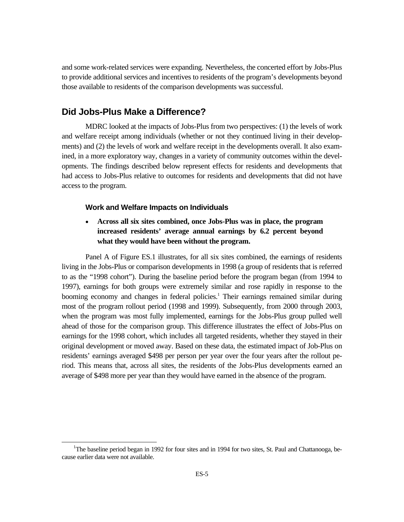and some work-related services were expanding. Nevertheless, the concerted effort by Jobs-Plus to provide additional services and incentives to residents of the program's developments beyond those available to residents of the comparison developments was successful.

# **Did Jobs-Plus Make a Difference?**

MDRC looked at the impacts of Jobs-Plus from two perspectives: (1) the levels of work and welfare receipt among individuals (whether or not they continued living in their developments) and (2) the levels of work and welfare receipt in the developments overall. It also examined, in a more exploratory way, changes in a variety of community outcomes within the developments. The findings described below represent effects for residents and developments that had access to Jobs-Plus relative to outcomes for residents and developments that did not have access to the program.

#### **Work and Welfare Impacts on Individuals**

• **Across all six sites combined, once Jobs-Plus was in place, the program increased residents' average annual earnings by 6.2 percent beyond what they would have been without the program.** 

Panel A of Figure ES.1 illustrates, for all six sites combined, the earnings of residents living in the Jobs-Plus or comparison developments in 1998 (a group of residents that is referred to as the "1998 cohort"). During the baseline period before the program began (from 1994 to 1997), earnings for both groups were extremely similar and rose rapidly in response to the booming economy and changes in federal policies.<sup>1</sup> Their earnings remained similar during most of the program rollout period (1998 and 1999). Subsequently, from 2000 through 2003, when the program was most fully implemented, earnings for the Jobs-Plus group pulled well ahead of those for the comparison group. This difference illustrates the effect of Jobs-Plus on earnings for the 1998 cohort, which includes all targeted residents, whether they stayed in their original development or moved away. Based on these data, the estimated impact of Job-Plus on residents' earnings averaged \$498 per person per year over the four years after the rollout period. This means that, across all sites, the residents of the Jobs-Plus developments earned an average of \$498 more per year than they would have earned in the absence of the program.

 $\frac{1}{1}$ <sup>1</sup>The baseline period began in 1992 for four sites and in 1994 for two sites, St. Paul and Chattanooga, because earlier data were not available.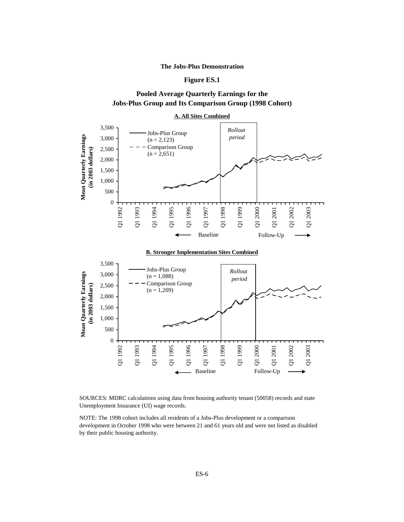#### **The Jobs-Plus Demonstration**

#### **Figure ES.1**

### **Pooled Average Quarterly Earnings for the Jobs-Plus Group and Its Comparison Group (1998 Cohort)**





Q1 1997

Baseline

Q1 1998

Q1 1999

Q1 2000

Q1 2001

Follow-Up

Q1 2002

Q1 2003

0

Q1 1992

Q1 1993

Q1 1994

Q1 1995

Q1 1996

NOTE: The 1998 cohort includes all residents of a Jobs-Plus development or a comparison development in October 1998 who were between 21 and 61 years old and were not listed as disabled by their public housing authority.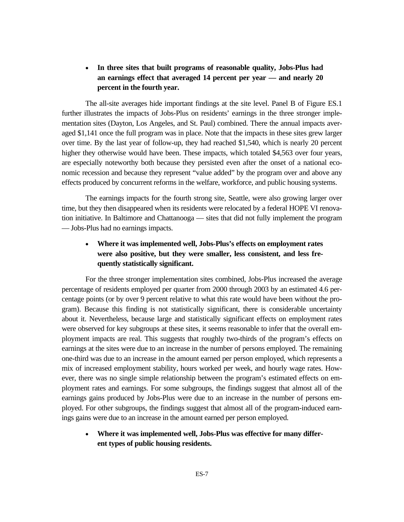# • **In three sites that built programs of reasonable quality, Jobs-Plus had an earnings effect that averaged 14 percent per year — and nearly 20 percent in the fourth year.**

The all-site averages hide important findings at the site level. Panel B of Figure ES.1 further illustrates the impacts of Jobs-Plus on residents' earnings in the three stronger implementation sites (Dayton, Los Angeles, and St. Paul) combined. There the annual impacts averaged \$1,141 once the full program was in place. Note that the impacts in these sites grew larger over time. By the last year of follow-up, they had reached \$1,540, which is nearly 20 percent higher they otherwise would have been. These impacts, which totaled \$4,563 over four years, are especially noteworthy both because they persisted even after the onset of a national economic recession and because they represent "value added" by the program over and above any effects produced by concurrent reforms in the welfare, workforce, and public housing systems.

The earnings impacts for the fourth strong site, Seattle, were also growing larger over time, but they then disappeared when its residents were relocated by a federal HOPE VI renovation initiative. In Baltimore and Chattanooga — sites that did not fully implement the program — Jobs-Plus had no earnings impacts.

# • **Where it was implemented well, Jobs-Plus's effects on employment rates were also positive, but they were smaller, less consistent, and less frequently statistically significant.**

For the three stronger implementation sites combined, Jobs-Plus increased the average percentage of residents employed per quarter from 2000 through 2003 by an estimated 4.6 percentage points (or by over 9 percent relative to what this rate would have been without the program). Because this finding is not statistically significant, there is considerable uncertainty about it. Nevertheless, because large and statistically significant effects on employment rates were observed for key subgroups at these sites, it seems reasonable to infer that the overall employment impacts are real. This suggests that roughly two-thirds of the program's effects on earnings at the sites were due to an increase in the number of persons employed. The remaining one-third was due to an increase in the amount earned per person employed, which represents a mix of increased employment stability, hours worked per week, and hourly wage rates. However, there was no single simple relationship between the program's estimated effects on employment rates and earnings. For some subgroups, the findings suggest that almost all of the earnings gains produced by Jobs-Plus were due to an increase in the number of persons employed. For other subgroups, the findings suggest that almost all of the program-induced earnings gains were due to an increase in the amount earned per person employed.

• **Where it was implemented well, Jobs-Plus was effective for many different types of public housing residents.**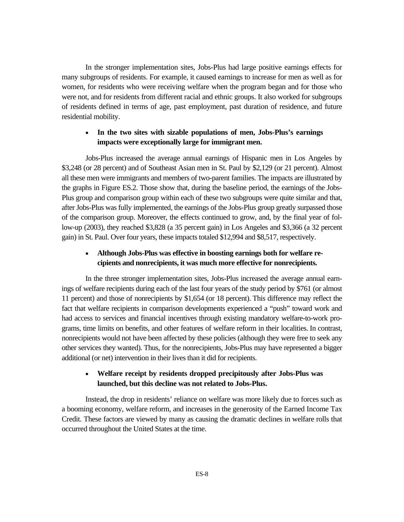In the stronger implementation sites, Jobs-Plus had large positive earnings effects for many subgroups of residents. For example, it caused earnings to increase for men as well as for women, for residents who were receiving welfare when the program began and for those who were not, and for residents from different racial and ethnic groups. It also worked for subgroups of residents defined in terms of age, past employment, past duration of residence, and future residential mobility.

### • **In the two sites with sizable populations of men, Jobs-Plus's earnings impacts were exceptionally large for immigrant men.**

Jobs-Plus increased the average annual earnings of Hispanic men in Los Angeles by \$3,248 (or 28 percent) and of Southeast Asian men in St. Paul by \$2,129 (or 21 percent). Almost all these men were immigrants and members of two-parent families. The impacts are illustrated by the graphs in Figure ES.2. Those show that, during the baseline period, the earnings of the Jobs-Plus group and comparison group within each of these two subgroups were quite similar and that, after Jobs-Plus was fully implemented, the earnings of the Jobs-Plus group greatly surpassed those of the comparison group. Moreover, the effects continued to grow, and, by the final year of follow-up (2003), they reached \$3,828 (a 35 percent gain) in Los Angeles and \$3,366 (a 32 percent gain) in St. Paul. Over four years, these impacts totaled \$12,994 and \$8,517, respectively.

### • **Although Jobs-Plus was effective in boosting earnings both for welfare recipients and nonrecipients, it was much more effective for nonrecipients.**

In the three stronger implementation sites, Jobs-Plus increased the average annual earnings of welfare recipients during each of the last four years of the study period by \$761 (or almost 11 percent) and those of nonrecipients by \$1,654 (or 18 percent). This difference may reflect the fact that welfare recipients in comparison developments experienced a "push" toward work and had access to services and financial incentives through existing mandatory welfare-to-work programs, time limits on benefits, and other features of welfare reform in their localities. In contrast, nonrecipients would not have been affected by these policies (although they were free to seek any other services they wanted). Thus, for the nonrecipients, Jobs-Plus may have represented a bigger additional (or net) intervention in their lives than it did for recipients.

### • **Welfare receipt by residents dropped precipitously after Jobs-Plus was launched, but this decline was not related to Jobs-Plus.**

Instead, the drop in residents' reliance on welfare was more likely due to forces such as a booming economy, welfare reform, and increases in the generosity of the Earned Income Tax Credit. These factors are viewed by many as causing the dramatic declines in welfare rolls that occurred throughout the United States at the time.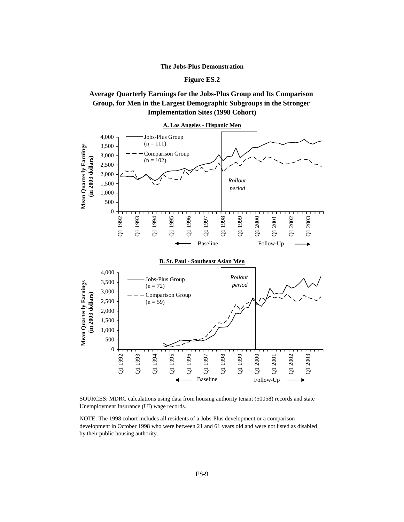#### **The Jobs-Plus Demonstration**

#### **Figure ES.2**

### **Average Quarterly Earnings for the Jobs-Plus Group and Its Comparison Group, for Men in the Largest Demographic Subgroups in the Stronger Implementation Sites (1998 Cohort)**



SOURCES: MDRC calculations using data from housing authority tenant (50058) records and state Unemployment Insurance (UI) wage records.

NOTE: The 1998 cohort includes all residents of a Jobs-Plus development or a comparison development in October 1998 who were between 21 and 61 years old and were not listed as disabled by their public housing authority.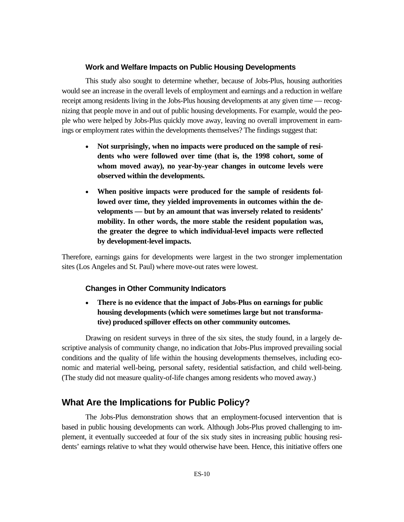#### **Work and Welfare Impacts on Public Housing Developments**

This study also sought to determine whether, because of Jobs-Plus, housing authorities would see an increase in the overall levels of employment and earnings and a reduction in welfare receipt among residents living in the Jobs-Plus housing developments at any given time — recognizing that people move in and out of public housing developments. For example, would the people who were helped by Jobs-Plus quickly move away, leaving no overall improvement in earnings or employment rates within the developments themselves? The findings suggest that:

- **Not surprisingly, when no impacts were produced on the sample of residents who were followed over time (that is, the 1998 cohort, some of whom moved away), no year-by-year changes in outcome levels were observed within the developments.**
- **When positive impacts were produced for the sample of residents followed over time, they yielded improvements in outcomes within the developments — but by an amount that was inversely related to residents' mobility. In other words, the more stable the resident population was, the greater the degree to which individual-level impacts were reflected by development-level impacts.**

Therefore, earnings gains for developments were largest in the two stronger implementation sites (Los Angeles and St. Paul) where move-out rates were lowest.

### **Changes in Other Community Indicators**

• **There is no evidence that the impact of Jobs-Plus on earnings for public housing developments (which were sometimes large but not transformative) produced spillover effects on other community outcomes.** 

Drawing on resident surveys in three of the six sites, the study found, in a largely descriptive analysis of community change, no indication that Jobs-Plus improved prevailing social conditions and the quality of life within the housing developments themselves, including economic and material well-being, personal safety, residential satisfaction, and child well-being. (The study did not measure quality-of-life changes among residents who moved away.)

# **What Are the Implications for Public Policy?**

The Jobs-Plus demonstration shows that an employment-focused intervention that is based in public housing developments can work. Although Jobs-Plus proved challenging to implement, it eventually succeeded at four of the six study sites in increasing public housing residents' earnings relative to what they would otherwise have been. Hence, this initiative offers one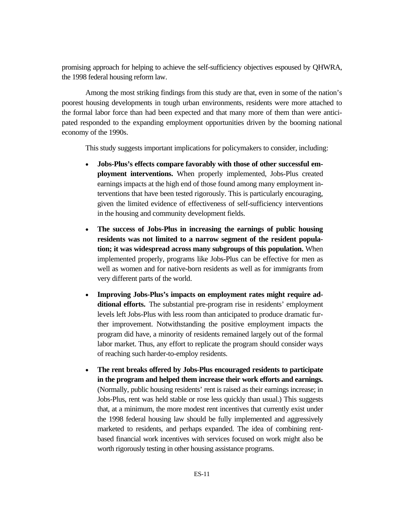promising approach for helping to achieve the self-sufficiency objectives espoused by QHWRA, the 1998 federal housing reform law.

Among the most striking findings from this study are that, even in some of the nation's poorest housing developments in tough urban environments, residents were more attached to the formal labor force than had been expected and that many more of them than were anticipated responded to the expanding employment opportunities driven by the booming national economy of the 1990s.

This study suggests important implications for policymakers to consider, including:

- **Jobs-Plus's effects compare favorably with those of other successful employment interventions.** When properly implemented, Jobs-Plus created earnings impacts at the high end of those found among many employment interventions that have been tested rigorously. This is particularly encouraging, given the limited evidence of effectiveness of self-sufficiency interventions in the housing and community development fields.
- **The success of Jobs-Plus in increasing the earnings of public housing residents was not limited to a narrow segment of the resident population; it was widespread across many subgroups of this population.** When implemented properly, programs like Jobs-Plus can be effective for men as well as women and for native-born residents as well as for immigrants from very different parts of the world.
- **Improving Jobs-Plus's impacts on employment rates might require additional efforts.** The substantial pre-program rise in residents' employment levels left Jobs-Plus with less room than anticipated to produce dramatic further improvement. Notwithstanding the positive employment impacts the program did have, a minority of residents remained largely out of the formal labor market. Thus, any effort to replicate the program should consider ways of reaching such harder-to-employ residents.
- **The rent breaks offered by Jobs-Plus encouraged residents to participate in the program and helped them increase their work efforts and earnings.** (Normally, public housing residents' rent is raised as their earnings increase; in Jobs-Plus, rent was held stable or rose less quickly than usual.) This suggests that, at a minimum, the more modest rent incentives that currently exist under the 1998 federal housing law should be fully implemented and aggressively marketed to residents, and perhaps expanded. The idea of combining rentbased financial work incentives with services focused on work might also be worth rigorously testing in other housing assistance programs.